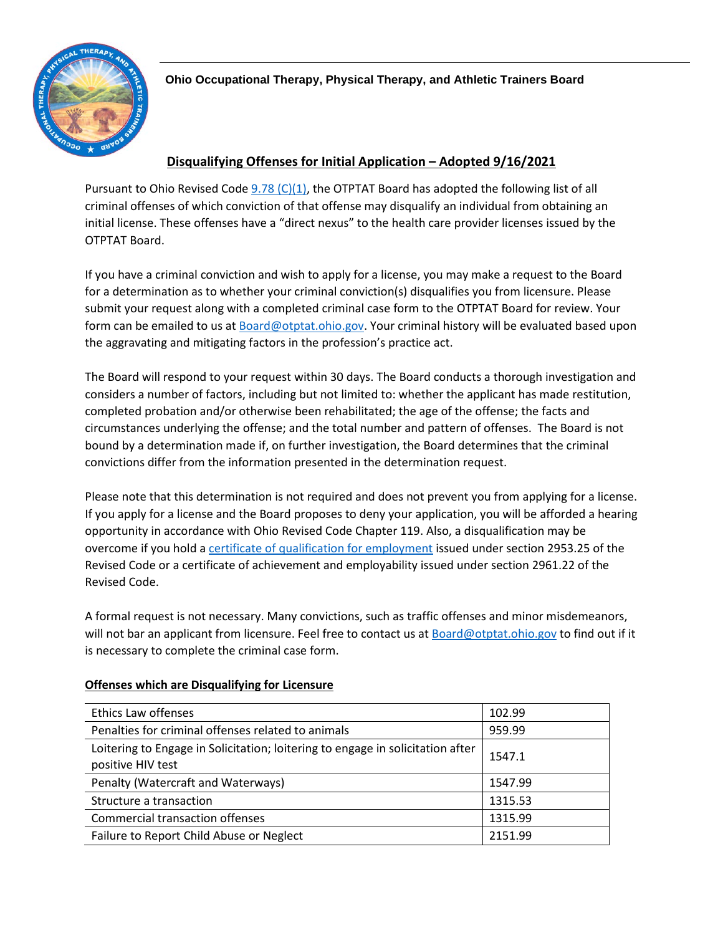

### **Disqualifying Offenses for Initial Application – Adopted 9/16/2021**

Pursuant to Ohio Revised Code  $9.78$  (C)(1), the OTPTAT Board has adopted the following list of all criminal offenses of which conviction of that offense may disqualify an individual from obtaining an initial license. These offenses have a "direct nexus" to the health care provider licenses issued by the OTPTAT Board.

If you have a criminal conviction and wish to apply for a license, you may make a request to the Board for a determination as to whether your criminal conviction(s) disqualifies you from licensure. Please submit your request along with a completed criminal case form to the OTPTAT Board for review. Your form can be emailed to us at [Board@otptat.ohio.gov.](mailto:Board@otptat.ohio.gov) Your criminal history will be evaluated based upon the aggravating and mitigating factors in the profession's practice act.

The Board will respond to your request within 30 days. The Board conducts a thorough investigation and considers a number of factors, including but not limited to: whether the applicant has made restitution, completed probation and/or otherwise been rehabilitated; the age of the offense; the facts and circumstances underlying the offense; and the total number and pattern of offenses. The Board is not bound by a determination made if, on further investigation, the Board determines that the criminal convictions differ from the information presented in the determination request.

Please note that this determination is not required and does not prevent you from applying for a license. If you apply for a license and the Board proposes to deny your application, you will be afforded a hearing opportunity in accordance with Ohio Revised Code Chapter 119. Also, a disqualification may be overcome if you hold a [certificate of qualification for employment](https://drc.ohio.gov/cqe) issued under section 2953.25 of the Revised Code or a certificate of achievement and employability issued under section 2961.22 of the Revised Code.

A formal request is not necessary. Many convictions, such as traffic offenses and minor misdemeanors, will not bar an applicant from licensure. Feel free to contact us at [Board@otptat.ohio.gov](mailto:Board@otptat.ohio.gov) to find out if it is necessary to complete the criminal case form.

| Ethics Law offenses                                                                                 | 102.99  |
|-----------------------------------------------------------------------------------------------------|---------|
| Penalties for criminal offenses related to animals                                                  | 959.99  |
| Loitering to Engage in Solicitation; loitering to engage in solicitation after<br>positive HIV test | 1547.1  |
| Penalty (Watercraft and Waterways)                                                                  | 1547.99 |
| Structure a transaction                                                                             | 1315.53 |
| <b>Commercial transaction offenses</b>                                                              | 1315.99 |
| Failure to Report Child Abuse or Neglect                                                            | 2151.99 |

### **Offenses which are Disqualifying for Licensure**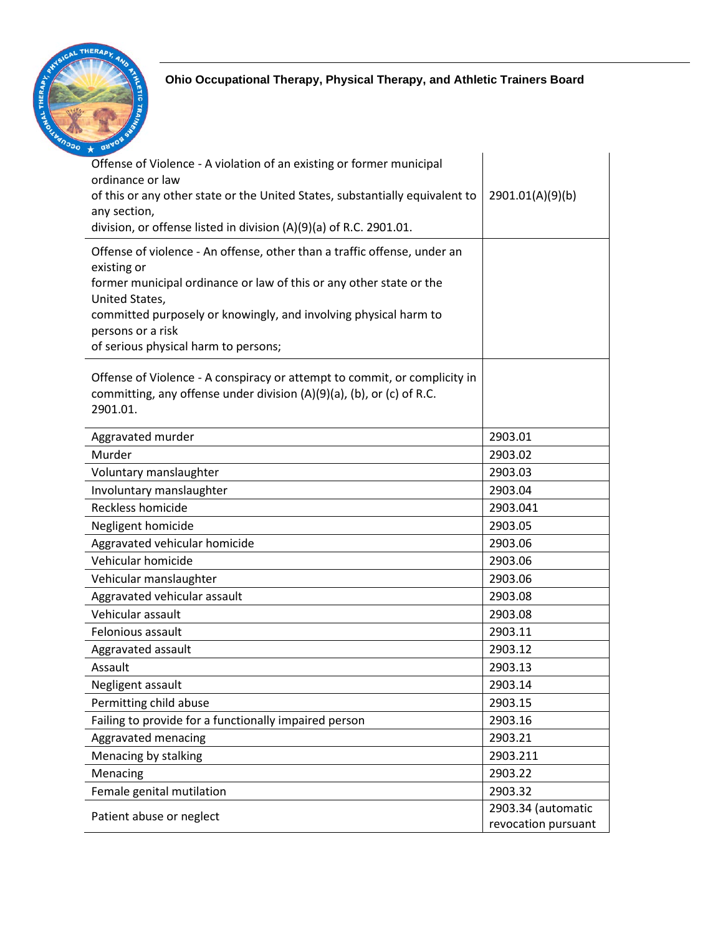

| Offense of Violence - A violation of an existing or former municipal<br>ordinance or law<br>of this or any other state or the United States, substantially equivalent to<br>any section,<br>division, or offense listed in division (A)(9)(a) of R.C. 2901.01.<br>Offense of violence - An offense, other than a traffic offense, under an | 2901.01(A)(9)(b)                          |
|--------------------------------------------------------------------------------------------------------------------------------------------------------------------------------------------------------------------------------------------------------------------------------------------------------------------------------------------|-------------------------------------------|
| existing or                                                                                                                                                                                                                                                                                                                                |                                           |
| former municipal ordinance or law of this or any other state or the                                                                                                                                                                                                                                                                        |                                           |
| United States,<br>committed purposely or knowingly, and involving physical harm to                                                                                                                                                                                                                                                         |                                           |
| persons or a risk                                                                                                                                                                                                                                                                                                                          |                                           |
| of serious physical harm to persons;                                                                                                                                                                                                                                                                                                       |                                           |
| Offense of Violence - A conspiracy or attempt to commit, or complicity in<br>committing, any offense under division (A)(9)(a), (b), or (c) of R.C.<br>2901.01.                                                                                                                                                                             |                                           |
| Aggravated murder                                                                                                                                                                                                                                                                                                                          | 2903.01                                   |
| Murder                                                                                                                                                                                                                                                                                                                                     | 2903.02                                   |
| Voluntary manslaughter                                                                                                                                                                                                                                                                                                                     | 2903.03                                   |
| Involuntary manslaughter                                                                                                                                                                                                                                                                                                                   | 2903.04                                   |
| Reckless homicide                                                                                                                                                                                                                                                                                                                          | 2903.041                                  |
| Negligent homicide                                                                                                                                                                                                                                                                                                                         | 2903.05                                   |
| Aggravated vehicular homicide                                                                                                                                                                                                                                                                                                              | 2903.06                                   |
| Vehicular homicide                                                                                                                                                                                                                                                                                                                         | 2903.06                                   |
| Vehicular manslaughter                                                                                                                                                                                                                                                                                                                     | 2903.06                                   |
| Aggravated vehicular assault                                                                                                                                                                                                                                                                                                               | 2903.08                                   |
| Vehicular assault                                                                                                                                                                                                                                                                                                                          | 2903.08                                   |
| Felonious assault                                                                                                                                                                                                                                                                                                                          | 2903.11                                   |
| Aggravated assault                                                                                                                                                                                                                                                                                                                         | 2903.12                                   |
| Assault                                                                                                                                                                                                                                                                                                                                    | 2903.13                                   |
| Negligent assault                                                                                                                                                                                                                                                                                                                          | 2903.14                                   |
| Permitting child abuse                                                                                                                                                                                                                                                                                                                     | 2903.15                                   |
| Failing to provide for a functionally impaired person                                                                                                                                                                                                                                                                                      | 2903.16                                   |
| Aggravated menacing                                                                                                                                                                                                                                                                                                                        | 2903.21                                   |
| Menacing by stalking                                                                                                                                                                                                                                                                                                                       | 2903.211                                  |
| Menacing                                                                                                                                                                                                                                                                                                                                   | 2903.22                                   |
| Female genital mutilation                                                                                                                                                                                                                                                                                                                  | 2903.32                                   |
| Patient abuse or neglect                                                                                                                                                                                                                                                                                                                   | 2903.34 (automatic<br>revocation pursuant |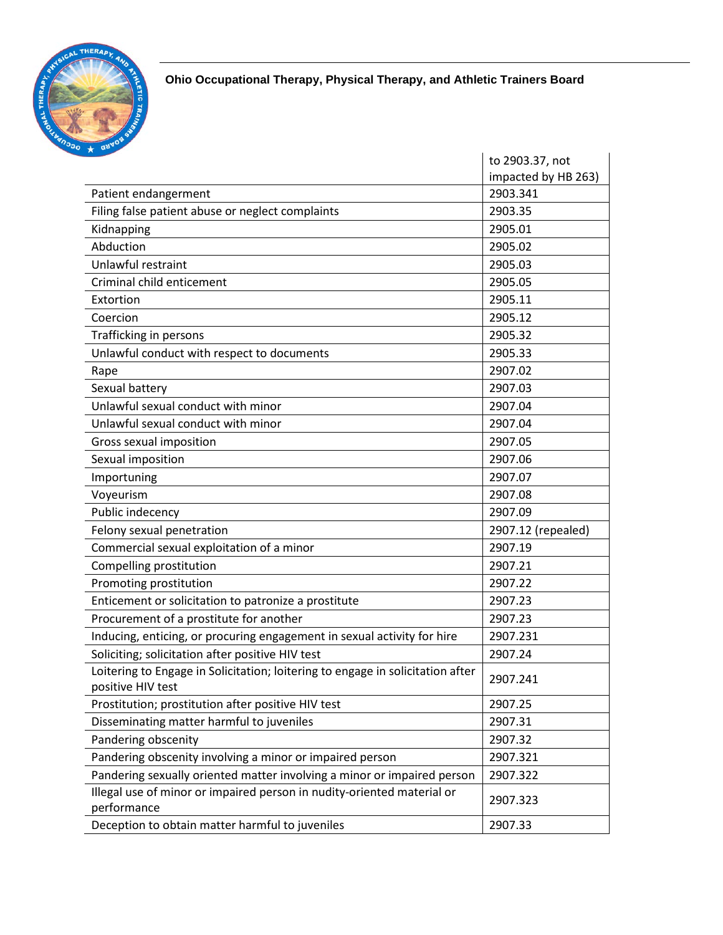

|                                                                                                     | to 2903.37, not     |
|-----------------------------------------------------------------------------------------------------|---------------------|
|                                                                                                     | impacted by HB 263) |
| Patient endangerment                                                                                | 2903.341            |
| Filing false patient abuse or neglect complaints                                                    | 2903.35             |
| Kidnapping                                                                                          | 2905.01             |
| Abduction                                                                                           | 2905.02             |
| Unlawful restraint                                                                                  | 2905.03             |
| Criminal child enticement                                                                           | 2905.05             |
| Extortion                                                                                           | 2905.11             |
| Coercion                                                                                            | 2905.12             |
| Trafficking in persons                                                                              | 2905.32             |
| Unlawful conduct with respect to documents                                                          | 2905.33             |
| Rape                                                                                                | 2907.02             |
| Sexual battery                                                                                      | 2907.03             |
| Unlawful sexual conduct with minor                                                                  | 2907.04             |
| Unlawful sexual conduct with minor                                                                  | 2907.04             |
| Gross sexual imposition                                                                             | 2907.05             |
| Sexual imposition                                                                                   | 2907.06             |
| Importuning                                                                                         | 2907.07             |
| Voyeurism                                                                                           | 2907.08             |
| Public indecency                                                                                    | 2907.09             |
| Felony sexual penetration                                                                           | 2907.12 (repealed)  |
| Commercial sexual exploitation of a minor                                                           | 2907.19             |
| Compelling prostitution                                                                             | 2907.21             |
| Promoting prostitution                                                                              | 2907.22             |
| Enticement or solicitation to patronize a prostitute                                                | 2907.23             |
| Procurement of a prostitute for another                                                             | 2907.23             |
| Inducing, enticing, or procuring engagement in sexual activity for hire                             | 2907.231            |
| Soliciting; solicitation after positive HIV test                                                    | 2907.24             |
| Loitering to Engage in Solicitation; loitering to engage in solicitation after<br>positive HIV test | 2907.241            |
| Prostitution; prostitution after positive HIV test                                                  | 2907.25             |
| Disseminating matter harmful to juveniles                                                           | 2907.31             |
| Pandering obscenity                                                                                 | 2907.32             |
| Pandering obscenity involving a minor or impaired person                                            | 2907.321            |
| Pandering sexually oriented matter involving a minor or impaired person                             | 2907.322            |
| Illegal use of minor or impaired person in nudity-oriented material or<br>performance               | 2907.323            |
| Deception to obtain matter harmful to juveniles                                                     | 2907.33             |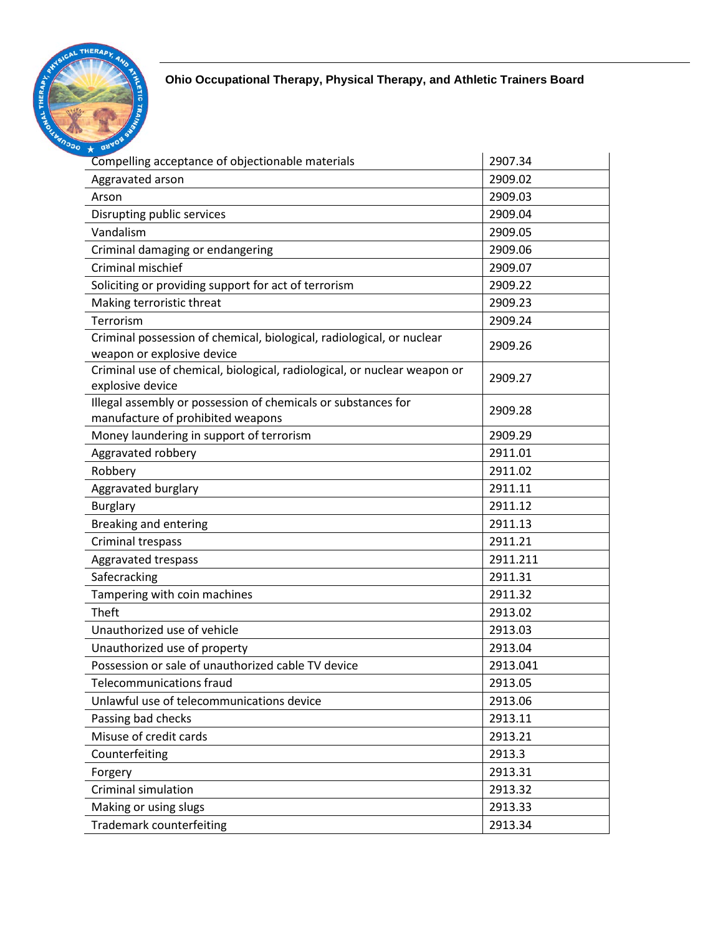

| Compelling acceptance of objectionable materials                                                    | 2907.34  |
|-----------------------------------------------------------------------------------------------------|----------|
| Aggravated arson                                                                                    | 2909.02  |
| Arson                                                                                               | 2909.03  |
| Disrupting public services                                                                          | 2909.04  |
| Vandalism                                                                                           | 2909.05  |
| Criminal damaging or endangering                                                                    | 2909.06  |
| Criminal mischief                                                                                   | 2909.07  |
| Soliciting or providing support for act of terrorism                                                | 2909.22  |
| Making terroristic threat                                                                           | 2909.23  |
| Terrorism                                                                                           | 2909.24  |
| Criminal possession of chemical, biological, radiological, or nuclear<br>weapon or explosive device | 2909.26  |
| Criminal use of chemical, biological, radiological, or nuclear weapon or<br>explosive device        | 2909.27  |
| Illegal assembly or possession of chemicals or substances for<br>manufacture of prohibited weapons  | 2909.28  |
| Money laundering in support of terrorism                                                            | 2909.29  |
| Aggravated robbery                                                                                  | 2911.01  |
| Robbery                                                                                             | 2911.02  |
| Aggravated burglary                                                                                 | 2911.11  |
| <b>Burglary</b>                                                                                     | 2911.12  |
| Breaking and entering                                                                               | 2911.13  |
| Criminal trespass                                                                                   | 2911.21  |
| Aggravated trespass                                                                                 | 2911.211 |
| Safecracking                                                                                        | 2911.31  |
| Tampering with coin machines                                                                        | 2911.32  |
| Theft                                                                                               | 2913.02  |
| Unauthorized use of vehicle                                                                         | 2913.03  |
| Unauthorized use of property                                                                        | 2913.04  |
| Possession or sale of unauthorized cable TV device                                                  | 2913.041 |
| <b>Telecommunications fraud</b>                                                                     | 2913.05  |
| Unlawful use of telecommunications device                                                           | 2913.06  |
| Passing bad checks                                                                                  | 2913.11  |
| Misuse of credit cards                                                                              | 2913.21  |
| Counterfeiting                                                                                      | 2913.3   |
| Forgery                                                                                             | 2913.31  |
| Criminal simulation                                                                                 | 2913.32  |
| Making or using slugs                                                                               | 2913.33  |
| <b>Trademark counterfeiting</b>                                                                     | 2913.34  |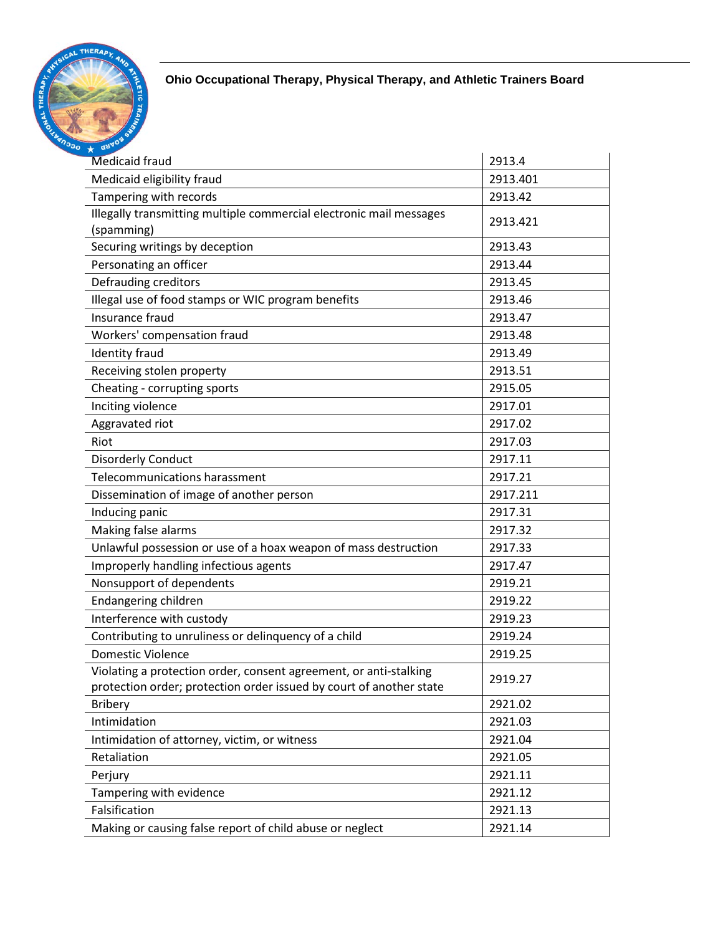

| $\star$ as                                                          |          |
|---------------------------------------------------------------------|----------|
| <b>Medicaid fraud</b>                                               | 2913.4   |
| Medicaid eligibility fraud                                          | 2913.401 |
| Tampering with records                                              | 2913.42  |
| Illegally transmitting multiple commercial electronic mail messages | 2913.421 |
| (spamming)                                                          |          |
| Securing writings by deception                                      | 2913.43  |
| Personating an officer                                              | 2913.44  |
| Defrauding creditors                                                | 2913.45  |
| Illegal use of food stamps or WIC program benefits                  | 2913.46  |
| Insurance fraud                                                     | 2913.47  |
| Workers' compensation fraud                                         | 2913.48  |
| <b>Identity fraud</b>                                               | 2913.49  |
| Receiving stolen property                                           | 2913.51  |
| Cheating - corrupting sports                                        | 2915.05  |
| Inciting violence                                                   | 2917.01  |
| Aggravated riot                                                     | 2917.02  |
| Riot                                                                | 2917.03  |
| Disorderly Conduct                                                  | 2917.11  |
| <b>Telecommunications harassment</b>                                | 2917.21  |
| Dissemination of image of another person                            | 2917.211 |
| Inducing panic                                                      | 2917.31  |
| Making false alarms                                                 | 2917.32  |
| Unlawful possession or use of a hoax weapon of mass destruction     | 2917.33  |
| Improperly handling infectious agents                               | 2917.47  |
| Nonsupport of dependents                                            | 2919.21  |
| Endangering children                                                | 2919.22  |
| Interference with custody                                           | 2919.23  |
| Contributing to unruliness or delinquency of a child                | 2919.24  |
| Domestic Violence                                                   | 2919.25  |
| Violating a protection order, consent agreement, or anti-stalking   | 2919.27  |
| protection order; protection order issued by court of another state |          |
| <b>Bribery</b>                                                      | 2921.02  |
| Intimidation                                                        | 2921.03  |
| Intimidation of attorney, victim, or witness                        | 2921.04  |
| Retaliation                                                         | 2921.05  |
| Perjury                                                             | 2921.11  |
| Tampering with evidence                                             | 2921.12  |
| Falsification                                                       | 2921.13  |
| Making or causing false report of child abuse or neglect            | 2921.14  |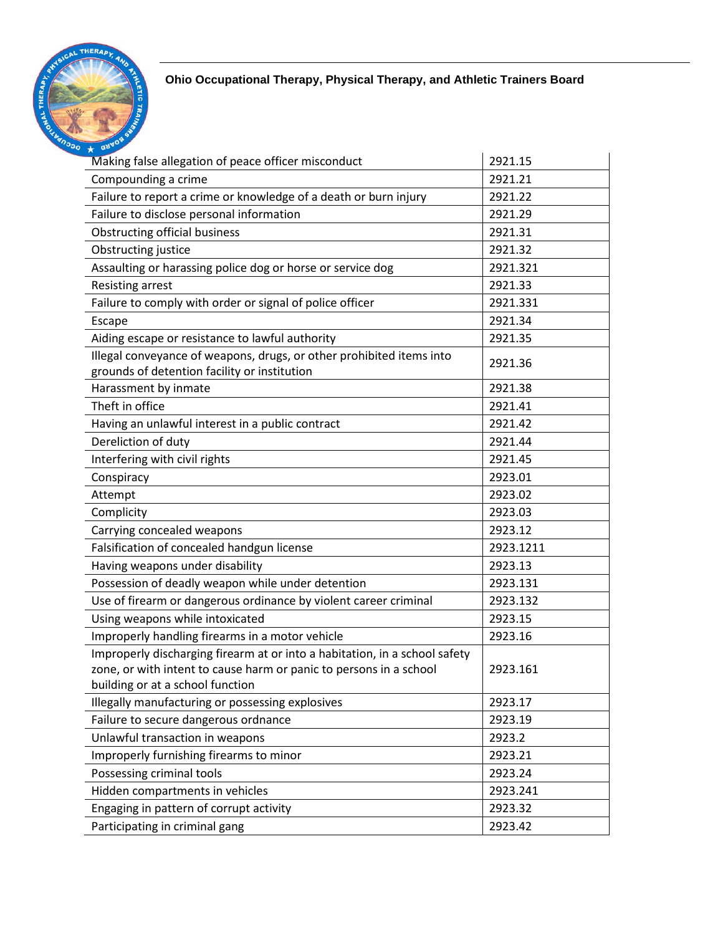

| Making false allegation of peace officer misconduct                                                                                                                                  | 2921.15   |
|--------------------------------------------------------------------------------------------------------------------------------------------------------------------------------------|-----------|
| Compounding a crime                                                                                                                                                                  | 2921.21   |
| Failure to report a crime or knowledge of a death or burn injury                                                                                                                     | 2921.22   |
| Failure to disclose personal information                                                                                                                                             | 2921.29   |
| <b>Obstructing official business</b>                                                                                                                                                 | 2921.31   |
| Obstructing justice                                                                                                                                                                  | 2921.32   |
| Assaulting or harassing police dog or horse or service dog                                                                                                                           | 2921.321  |
| <b>Resisting arrest</b>                                                                                                                                                              | 2921.33   |
| Failure to comply with order or signal of police officer                                                                                                                             | 2921.331  |
| Escape                                                                                                                                                                               | 2921.34   |
| Aiding escape or resistance to lawful authority                                                                                                                                      | 2921.35   |
| Illegal conveyance of weapons, drugs, or other prohibited items into<br>grounds of detention facility or institution                                                                 | 2921.36   |
| Harassment by inmate                                                                                                                                                                 | 2921.38   |
| Theft in office                                                                                                                                                                      | 2921.41   |
| Having an unlawful interest in a public contract                                                                                                                                     | 2921.42   |
| Dereliction of duty                                                                                                                                                                  | 2921.44   |
| Interfering with civil rights                                                                                                                                                        | 2921.45   |
| Conspiracy                                                                                                                                                                           | 2923.01   |
| Attempt                                                                                                                                                                              | 2923.02   |
| Complicity                                                                                                                                                                           | 2923.03   |
| Carrying concealed weapons                                                                                                                                                           | 2923.12   |
| Falsification of concealed handgun license                                                                                                                                           | 2923.1211 |
| Having weapons under disability                                                                                                                                                      | 2923.13   |
| Possession of deadly weapon while under detention                                                                                                                                    | 2923.131  |
| Use of firearm or dangerous ordinance by violent career criminal                                                                                                                     | 2923.132  |
| Using weapons while intoxicated                                                                                                                                                      | 2923.15   |
| Improperly handling firearms in a motor vehicle                                                                                                                                      | 2923.16   |
| Improperly discharging firearm at or into a habitation, in a school safety<br>zone, or with intent to cause harm or panic to persons in a school<br>building or at a school function | 2923.161  |
| Illegally manufacturing or possessing explosives                                                                                                                                     | 2923.17   |
| Failure to secure dangerous ordnance                                                                                                                                                 | 2923.19   |
| Unlawful transaction in weapons                                                                                                                                                      | 2923.2    |
| Improperly furnishing firearms to minor                                                                                                                                              | 2923.21   |
| Possessing criminal tools                                                                                                                                                            | 2923.24   |
| Hidden compartments in vehicles                                                                                                                                                      | 2923.241  |
| Engaging in pattern of corrupt activity                                                                                                                                              | 2923.32   |
| Participating in criminal gang                                                                                                                                                       | 2923.42   |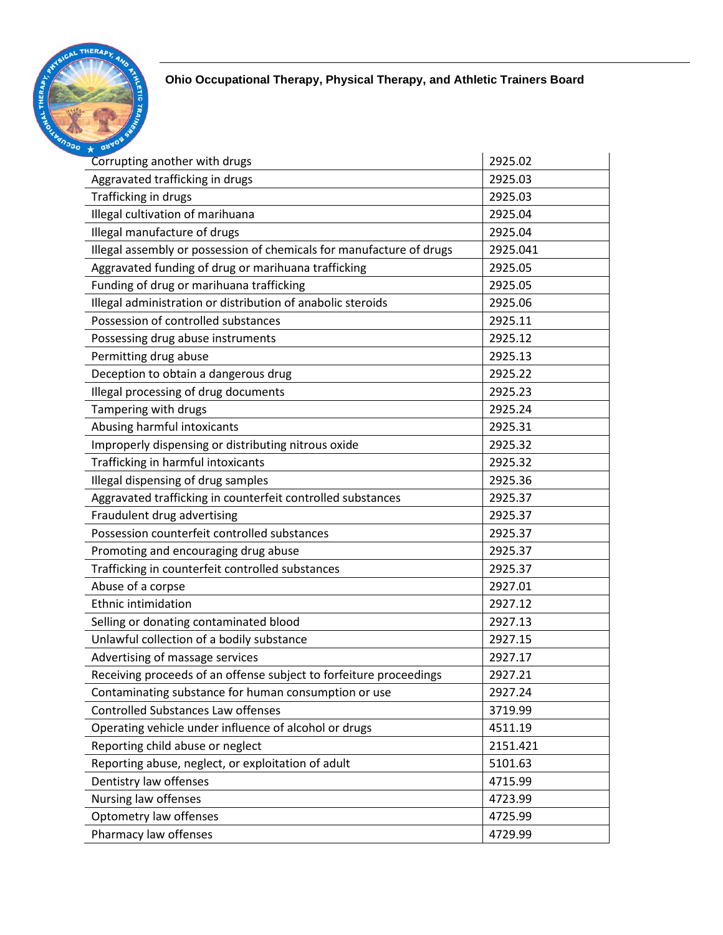

| Corrupting another with drugs                                        | 2925.02  |
|----------------------------------------------------------------------|----------|
| Aggravated trafficking in drugs                                      | 2925.03  |
| Trafficking in drugs                                                 | 2925.03  |
| Illegal cultivation of marihuana                                     | 2925.04  |
| Illegal manufacture of drugs                                         | 2925.04  |
| Illegal assembly or possession of chemicals for manufacture of drugs | 2925.041 |
| Aggravated funding of drug or marihuana trafficking                  | 2925.05  |
| Funding of drug or marihuana trafficking                             | 2925.05  |
| Illegal administration or distribution of anabolic steroids          | 2925.06  |
| Possession of controlled substances                                  | 2925.11  |
| Possessing drug abuse instruments                                    | 2925.12  |
| Permitting drug abuse                                                | 2925.13  |
| Deception to obtain a dangerous drug                                 | 2925.22  |
| Illegal processing of drug documents                                 | 2925.23  |
| Tampering with drugs                                                 | 2925.24  |
| Abusing harmful intoxicants                                          | 2925.31  |
| Improperly dispensing or distributing nitrous oxide                  | 2925.32  |
| Trafficking in harmful intoxicants                                   | 2925.32  |
| Illegal dispensing of drug samples                                   | 2925.36  |
| Aggravated trafficking in counterfeit controlled substances          | 2925.37  |
| Fraudulent drug advertising                                          | 2925.37  |
| Possession counterfeit controlled substances                         | 2925.37  |
| Promoting and encouraging drug abuse                                 | 2925.37  |
| Trafficking in counterfeit controlled substances                     | 2925.37  |
| Abuse of a corpse                                                    | 2927.01  |
| <b>Ethnic intimidation</b>                                           | 2927.12  |
| Selling or donating contaminated blood                               | 2927.13  |
| Unlawful collection of a bodily substance                            | 2927.15  |
| Advertising of massage services                                      | 2927.17  |
| Receiving proceeds of an offense subject to forfeiture proceedings   | 2927.21  |
| Contaminating substance for human consumption or use                 | 2927.24  |
| <b>Controlled Substances Law offenses</b>                            | 3719.99  |
| Operating vehicle under influence of alcohol or drugs                | 4511.19  |
| Reporting child abuse or neglect                                     | 2151.421 |
| Reporting abuse, neglect, or exploitation of adult                   | 5101.63  |
| Dentistry law offenses                                               | 4715.99  |
| Nursing law offenses                                                 | 4723.99  |
| Optometry law offenses                                               | 4725.99  |
| Pharmacy law offenses                                                | 4729.99  |